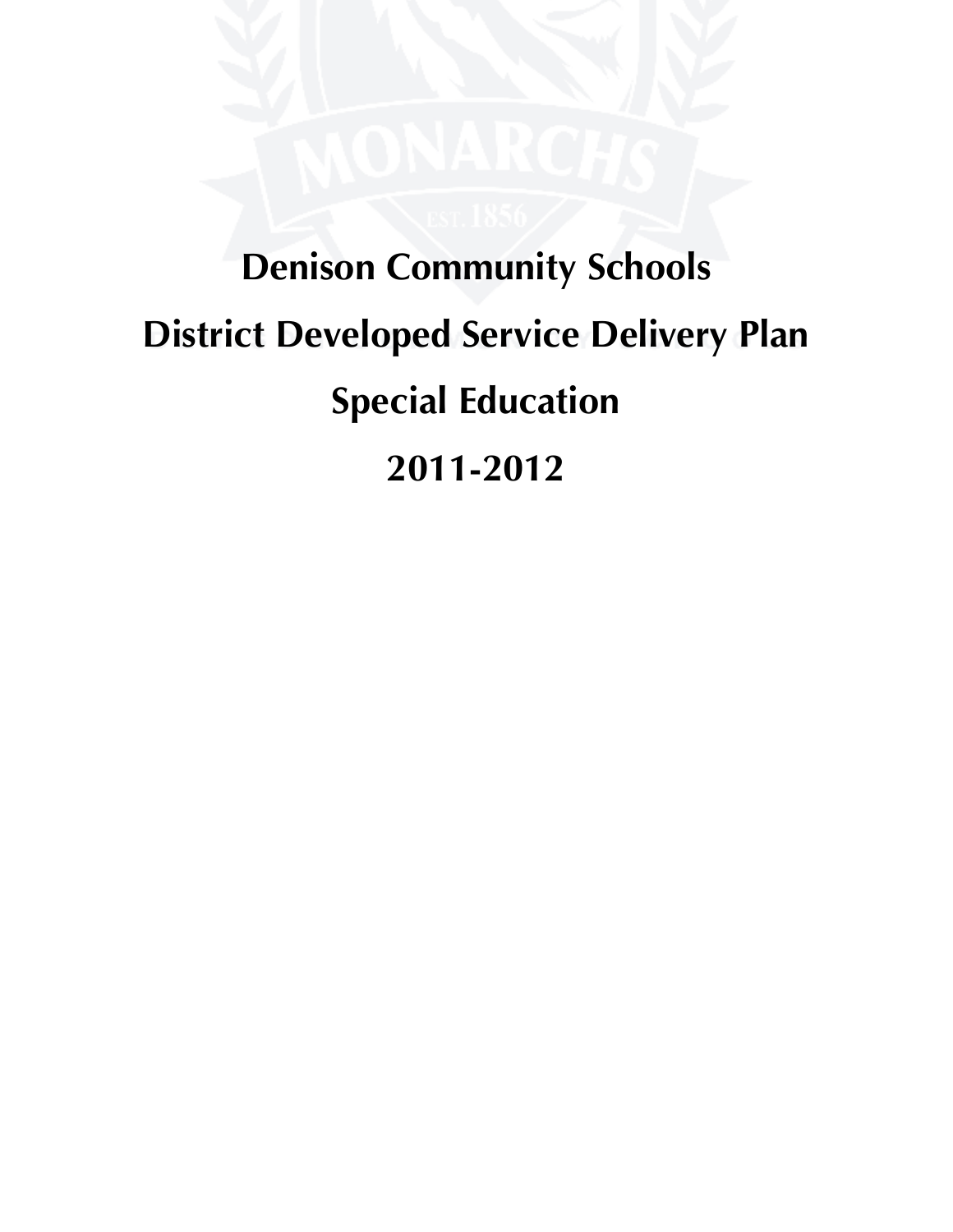# **Denison Community Schools District Developed Service Delivery Plan Special Education 2011-2012**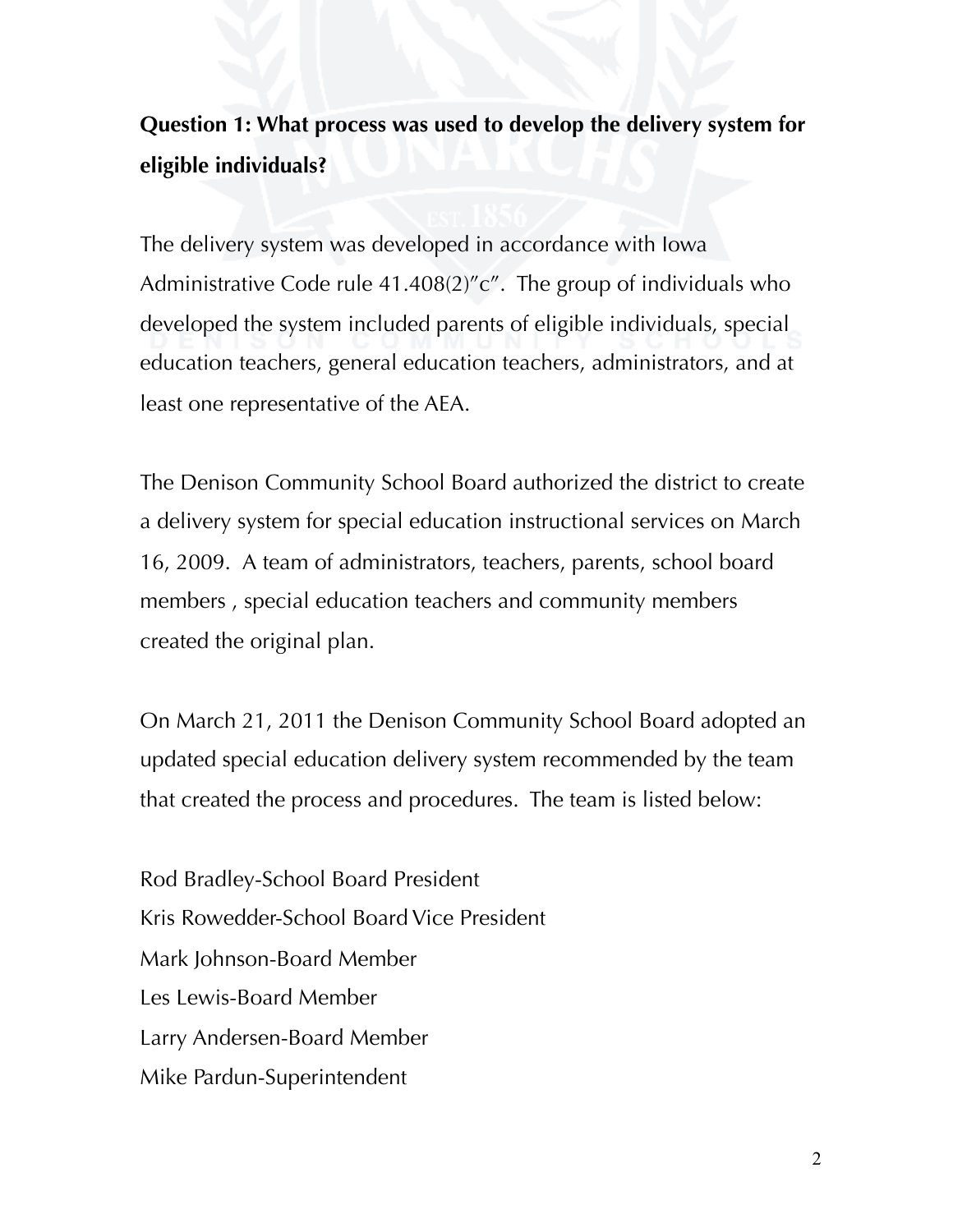# **Question 1: What process was used to develop the delivery system for eligible individuals?**

The delivery system was developed in accordance with Iowa Administrative Code rule 41.408(2)"c". The group of individuals who developed the system included parents of eligible individuals, special education teachers, general education teachers, administrators, and at least one representative of the AEA.

The Denison Community School Board authorized the district to create a delivery system for special education instructional services on March 16, 2009. A team of administrators, teachers, parents, school board members , special education teachers and community members created the original plan.

On March 21, 2011 the Denison Community School Board adopted an updated special education delivery system recommended by the team that created the process and procedures. The team is listed below:

Rod Bradley-School Board President Kris Rowedder-School Board Vice President Mark Johnson-Board Member Les Lewis-Board Member Larry Andersen-Board Member Mike Pardun-Superintendent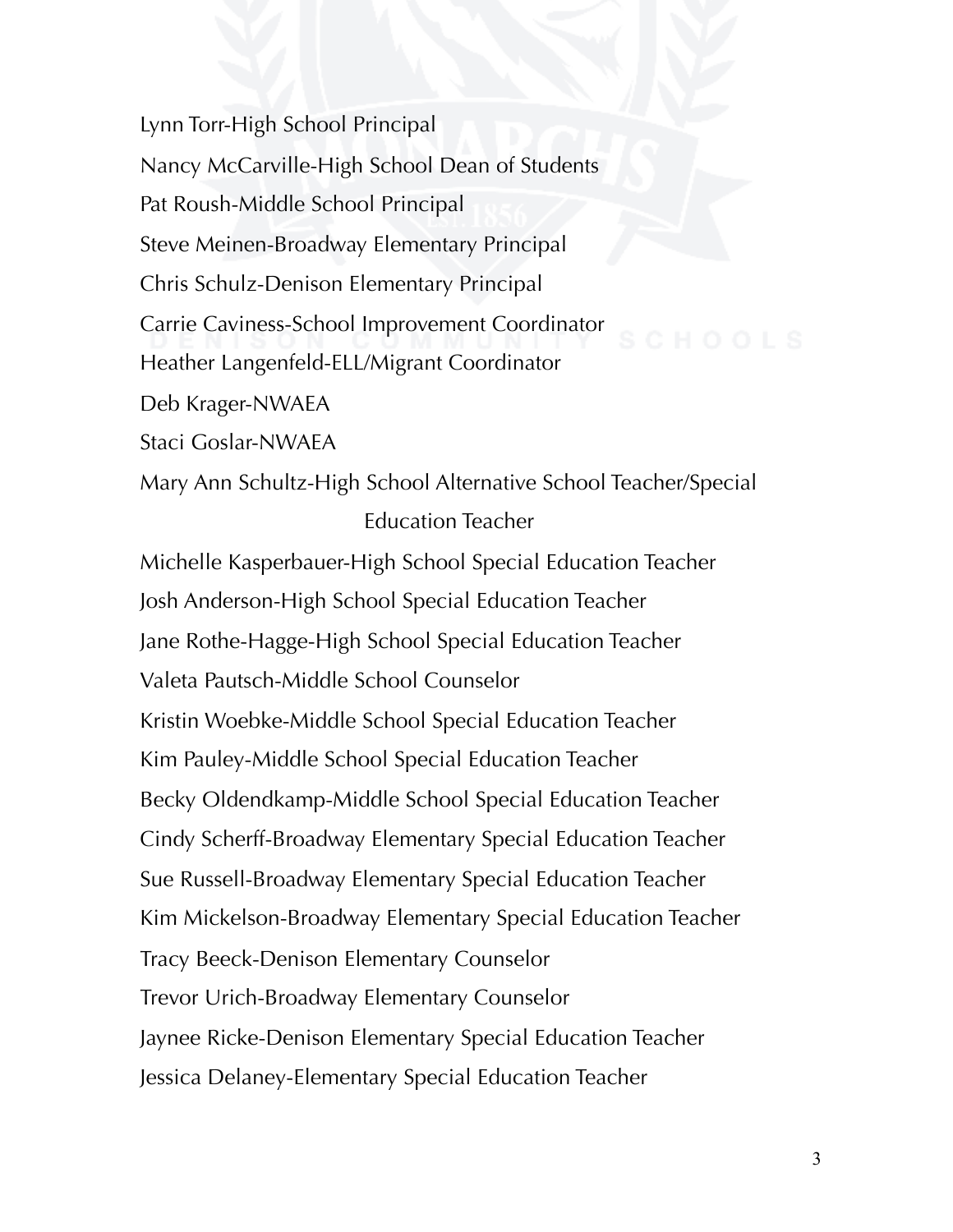Lynn Torr-High School Principal Nancy McCarville-High School Dean of Students Pat Roush-Middle School Principal Steve Meinen-Broadway Elementary Principal Chris Schulz-Denison Elementary Principal Carrie Caviness-School Improvement Coordinator Heather Langenfeld-ELL/Migrant Coordinator Deb Krager-NWAEA Staci Goslar-NWAEA

Mary Ann Schultz-High School Alternative School Teacher/Special Education Teacher

Michelle Kasperbauer-High School Special Education Teacher Josh Anderson-High School Special Education Teacher Jane Rothe-Hagge-High School Special Education Teacher Valeta Pautsch-Middle School Counselor Kristin Woebke-Middle School Special Education Teacher Kim Pauley-Middle School Special Education Teacher Becky Oldendkamp-Middle School Special Education Teacher Cindy Scherff-Broadway Elementary Special Education Teacher Sue Russell-Broadway Elementary Special Education Teacher Kim Mickelson-Broadway Elementary Special Education Teacher Tracy Beeck-Denison Elementary Counselor Trevor Urich-Broadway Elementary Counselor Jaynee Ricke-Denison Elementary Special Education Teacher Jessica Delaney-Elementary Special Education Teacher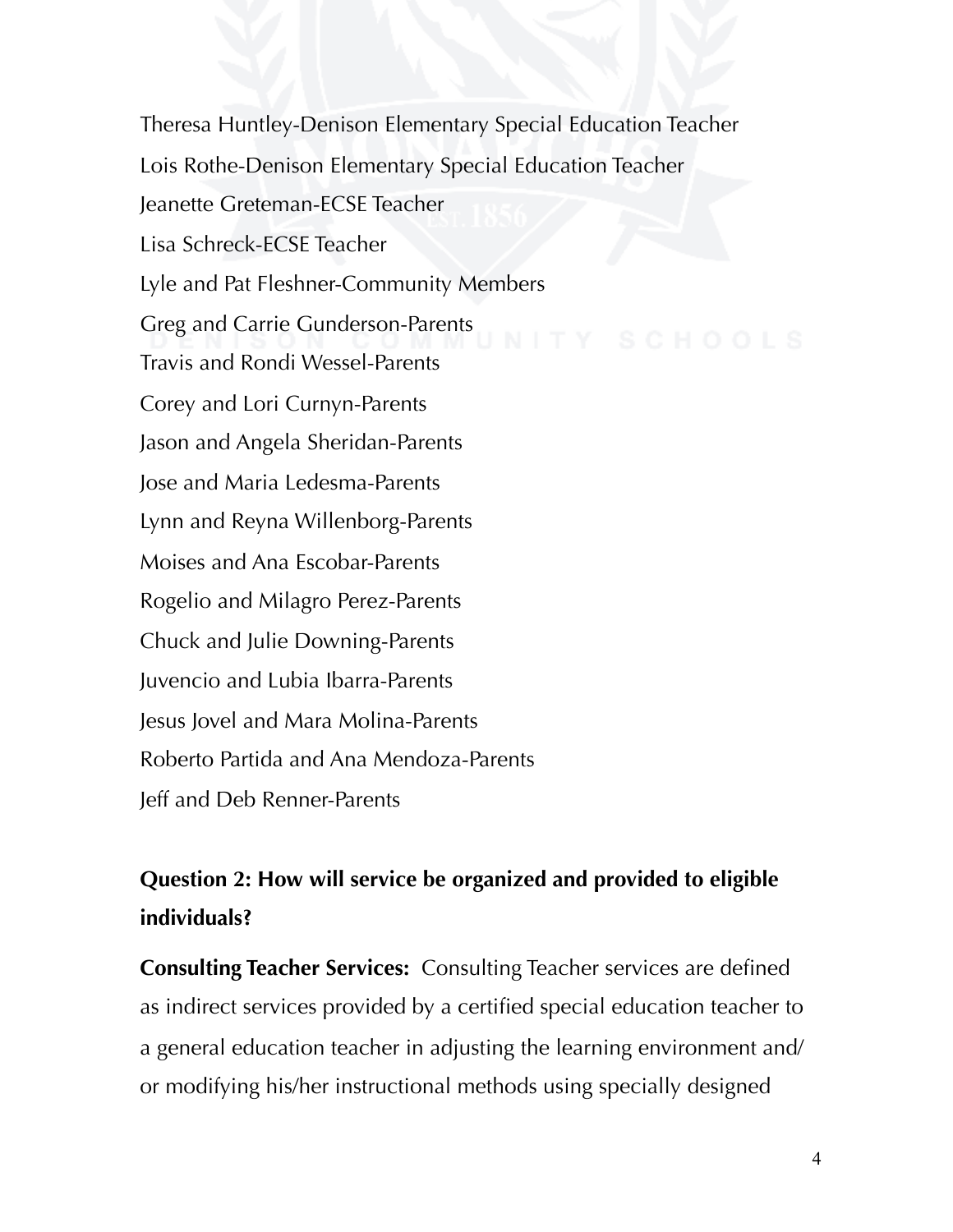Theresa Huntley-Denison Elementary Special Education Teacher Lois Rothe-Denison Elementary Special Education Teacher Jeanette Greteman-ECSE Teacher Lisa Schreck-ECSE Teacher Lyle and Pat Fleshner-Community Members Greg and Carrie Gunderson-Parents Travis and Rondi Wessel-Parents Corey and Lori Curnyn-Parents Jason and Angela Sheridan-Parents Jose and Maria Ledesma-Parents Lynn and Reyna Willenborg-Parents Moises and Ana Escobar-Parents Rogelio and Milagro Perez-Parents Chuck and Julie Downing-Parents Juvencio and Lubia Ibarra-Parents Jesus Jovel and Mara Molina-Parents Roberto Partida and Ana Mendoza-Parents Jeff and Deb Renner-Parents

## **Question 2: How will service be organized and provided to eligible individuals?**

**Consulting Teacher Services:** Consulting Teacher services are defined as indirect services provided by a certified special education teacher to a general education teacher in adjusting the learning environment and/ or modifying his/her instructional methods using specially designed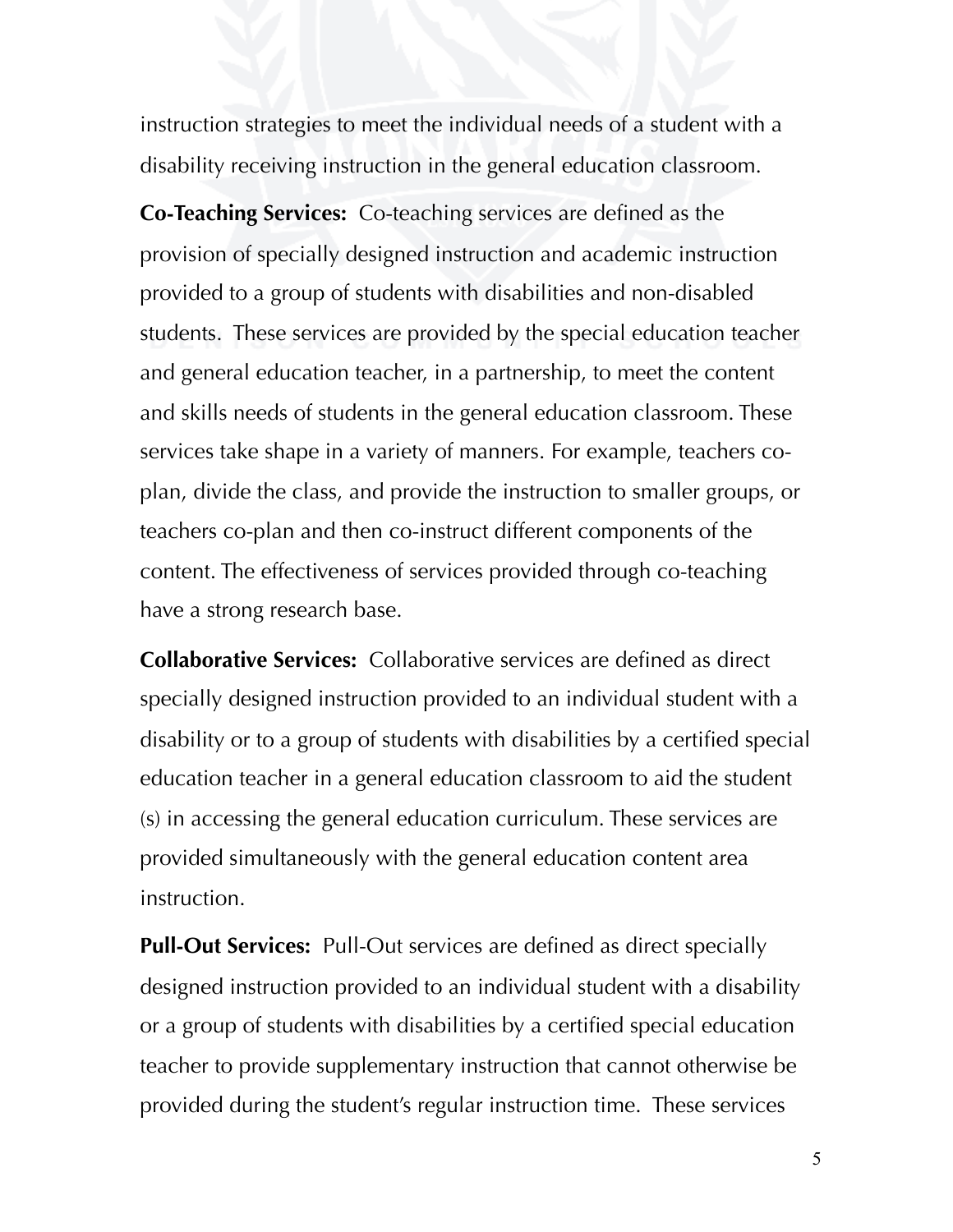instruction strategies to meet the individual needs of a student with a disability receiving instruction in the general education classroom.

**Co-Teaching Services:** Co-teaching services are defined as the provision of specially designed instruction and academic instruction provided to a group of students with disabilities and non-disabled students. These services are provided by the special education teacher and general education teacher, in a partnership, to meet the content and skills needs of students in the general education classroom. These services take shape in a variety of manners. For example, teachers coplan, divide the class, and provide the instruction to smaller groups, or teachers co-plan and then co-instruct different components of the content. The effectiveness of services provided through co-teaching have a strong research base.

**Collaborative Services:** Collaborative services are defined as direct specially designed instruction provided to an individual student with a disability or to a group of students with disabilities by a certified special education teacher in a general education classroom to aid the student (s) in accessing the general education curriculum. These services are provided simultaneously with the general education content area instruction.

**Pull-Out Services:** Pull-Out services are defined as direct specially designed instruction provided to an individual student with a disability or a group of students with disabilities by a certified special education teacher to provide supplementary instruction that cannot otherwise be provided during the student's regular instruction time. These services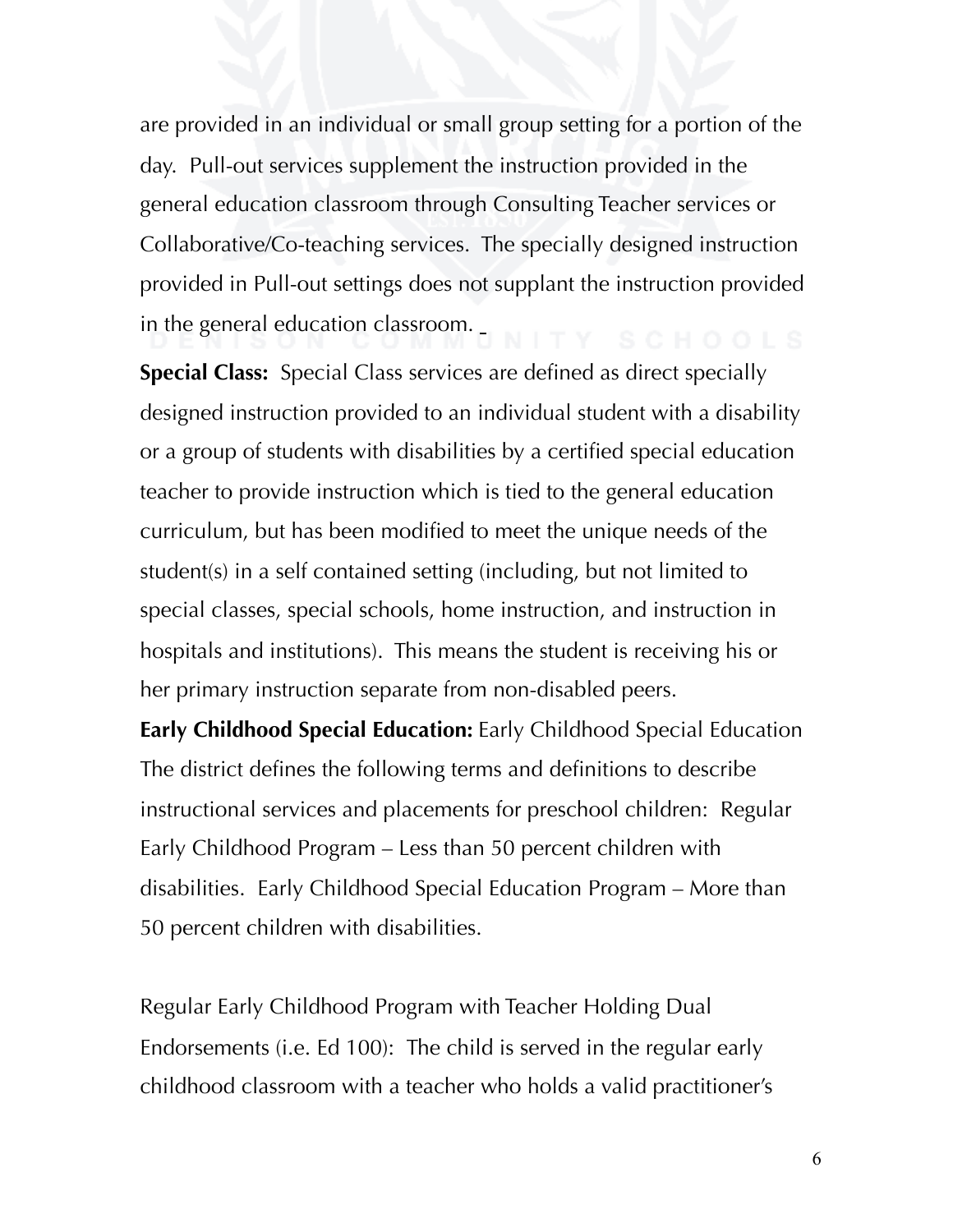are provided in an individual or small group setting for a portion of the day. Pull-out services supplement the instruction provided in the general education classroom through Consulting Teacher services or Collaborative/Co-teaching services. The specially designed instruction provided in Pull-out settings does not supplant the instruction provided in the general education classroom.

**Special Class:** Special Class services are defined as direct specially designed instruction provided to an individual student with a disability or a group of students with disabilities by a certified special education teacher to provide instruction which is tied to the general education curriculum, but has been modified to meet the unique needs of the student(s) in a self contained setting (including, but not limited to special classes, special schools, home instruction, and instruction in hospitals and institutions). This means the student is receiving his or her primary instruction separate from non-disabled peers.

**Early Childhood Special Education:** Early Childhood Special Education The district defines the following terms and definitions to describe instructional services and placements for preschool children: Regular Early Childhood Program – Less than 50 percent children with disabilities. Early Childhood Special Education Program – More than 50 percent children with disabilities.

Regular Early Childhood Program with Teacher Holding Dual Endorsements (i.e. Ed 100): The child is served in the regular early childhood classroom with a teacher who holds a valid practitioner's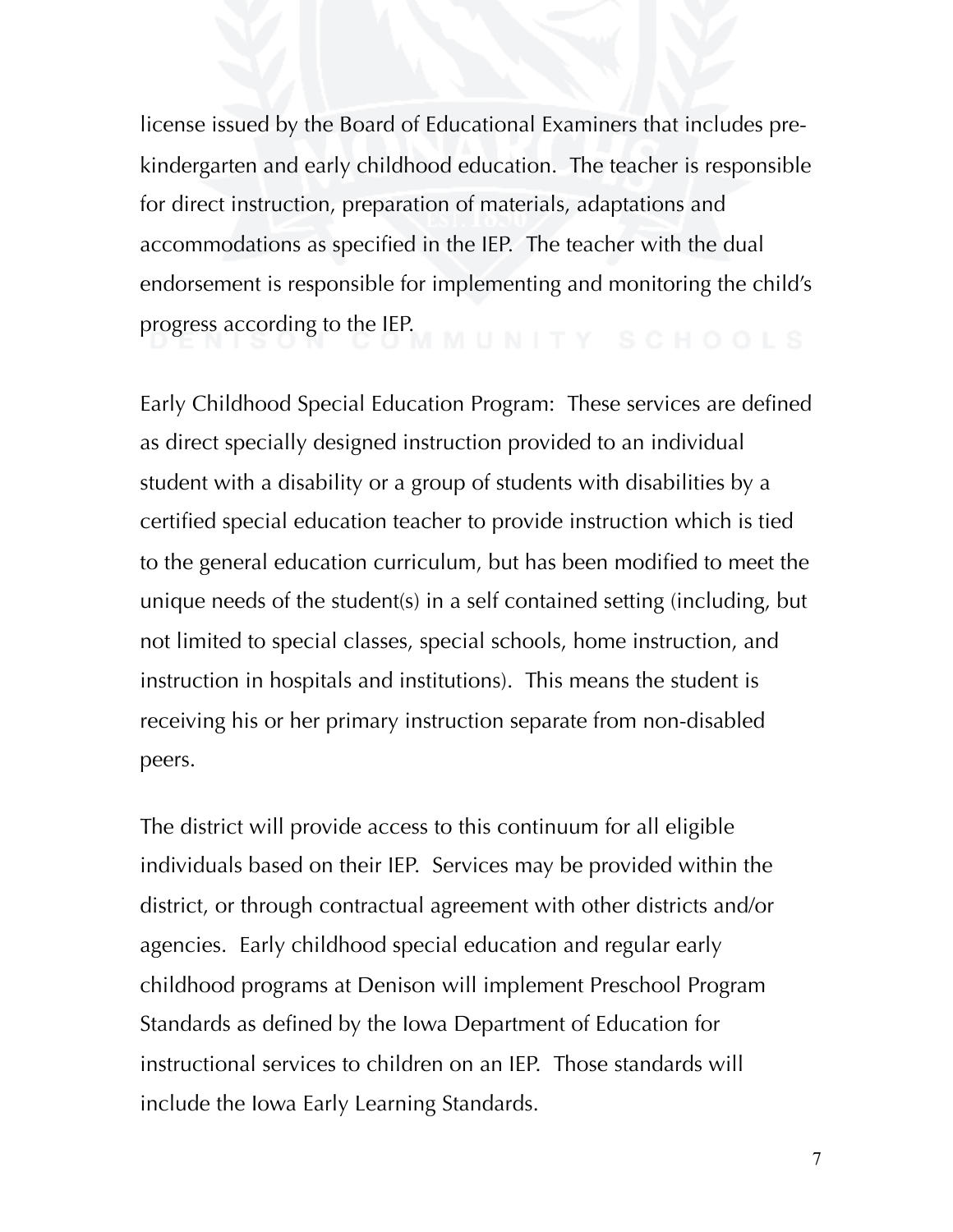license issued by the Board of Educational Examiners that includes prekindergarten and early childhood education. The teacher is responsible for direct instruction, preparation of materials, adaptations and accommodations as specified in the IEP. The teacher with the dual endorsement is responsible for implementing and monitoring the child's progress according to the IEP.<br>
UNITY SCHOOLS

Early Childhood Special Education Program: These services are defined as direct specially designed instruction provided to an individual student with a disability or a group of students with disabilities by a certified special education teacher to provide instruction which is tied to the general education curriculum, but has been modified to meet the unique needs of the student(s) in a self contained setting (including, but not limited to special classes, special schools, home instruction, and instruction in hospitals and institutions). This means the student is receiving his or her primary instruction separate from non-disabled peers.

The district will provide access to this continuum for all eligible individuals based on their IEP. Services may be provided within the district, or through contractual agreement with other districts and/or agencies. Early childhood special education and regular early childhood programs at Denison will implement Preschool Program Standards as defined by the Iowa Department of Education for instructional services to children on an IEP. Those standards will include the Iowa Early Learning Standards.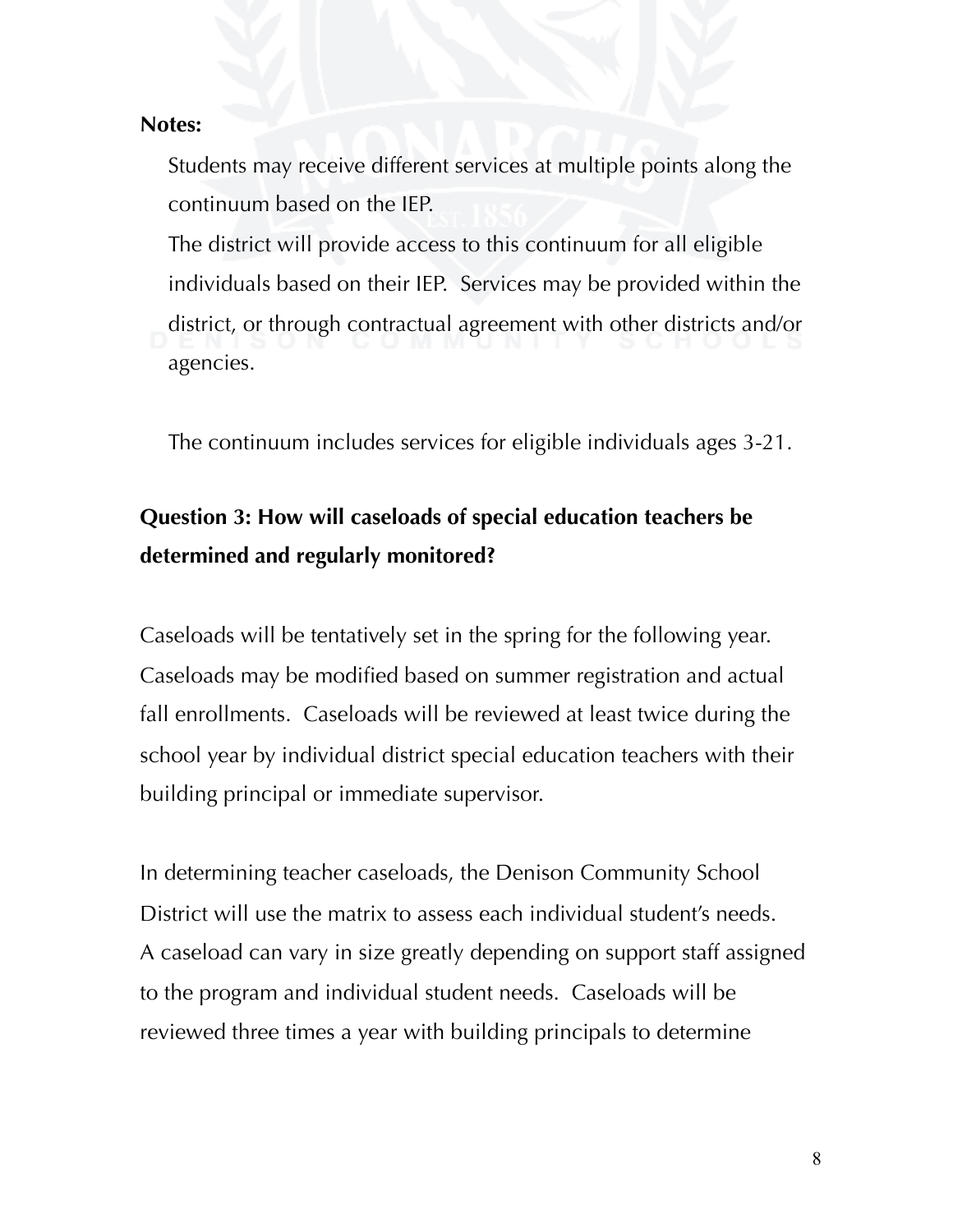#### **Notes:**

Students may receive different services at multiple points along the continuum based on the IEP.

The district will provide access to this continuum for all eligible individuals based on their IEP. Services may be provided within the district, or through contractual agreement with other districts and/or agencies.

The continuum includes services for eligible individuals ages 3-21.

# **Question 3: How will caseloads of special education teachers be determined and regularly monitored?**

Caseloads will be tentatively set in the spring for the following year. Caseloads may be modified based on summer registration and actual fall enrollments. Caseloads will be reviewed at least twice during the school year by individual district special education teachers with their building principal or immediate supervisor.

In determining teacher caseloads, the Denison Community School District will use the matrix to assess each individual student's needs. A caseload can vary in size greatly depending on support staff assigned to the program and individual student needs. Caseloads will be reviewed three times a year with building principals to determine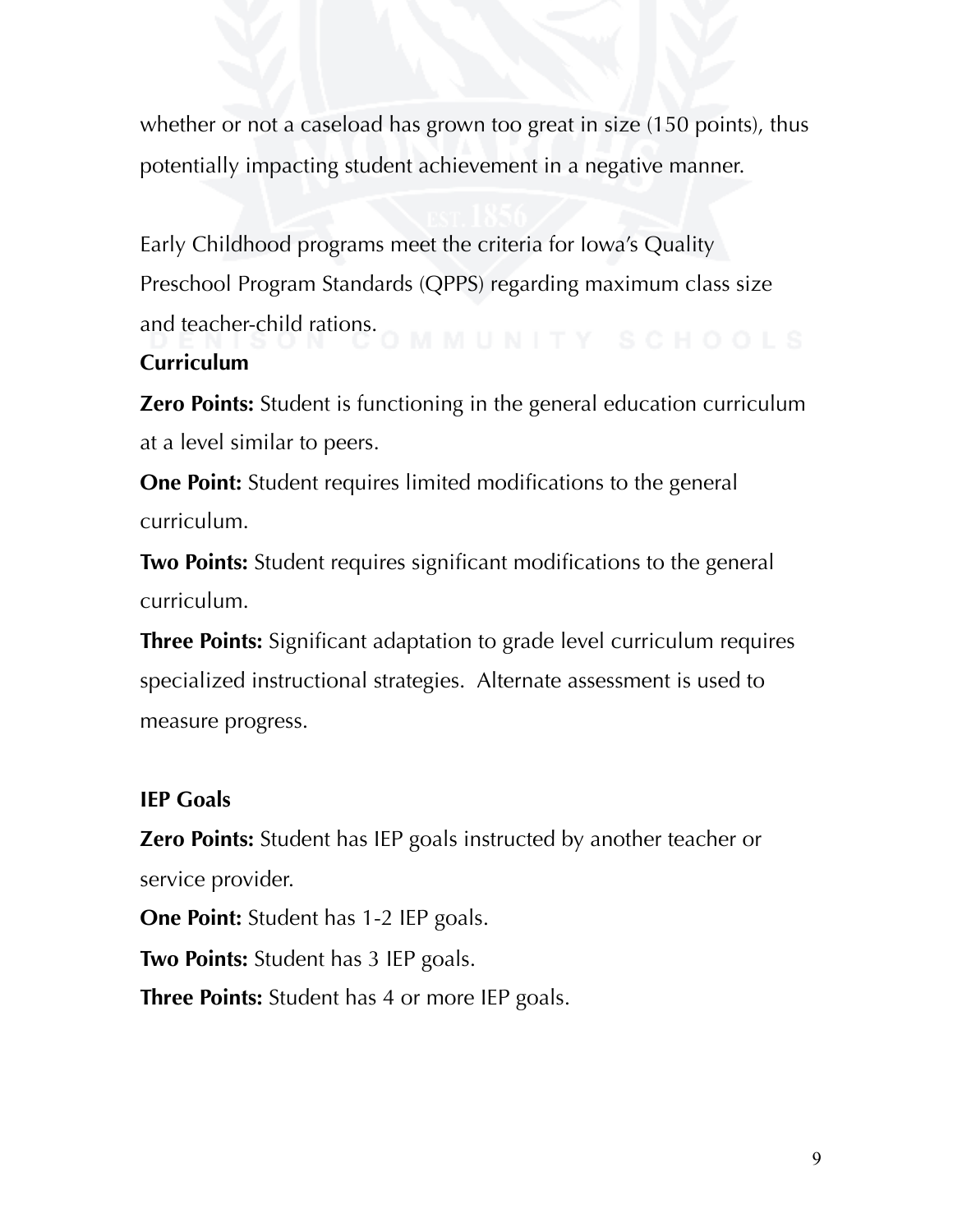whether or not a caseload has grown too great in size (150 points), thus potentially impacting student achievement in a negative manner.

Early Childhood programs meet the criteria for Iowa's Quality Preschool Program Standards (QPPS) regarding maximum class size and teacher-child rations.<br>  $C$  M M U N I T Y S C H O O L S

### **Curriculum**

**Zero Points:** Student is functioning in the general education curriculum at a level similar to peers.

**One Point:** Student requires limited modifications to the general curriculum.

**Two Points:** Student requires significant modifications to the general curriculum.

**Three Points:** Significant adaptation to grade level curriculum requires specialized instructional strategies. Alternate assessment is used to measure progress.

#### **IEP Goals**

**Zero Points:** Student has IEP goals instructed by another teacher or service provider.

**One Point:** Student has 1-2 IEP goals.

**Two Points:** Student has 3 IEP goals.

**Three Points:** Student has 4 or more IEP goals.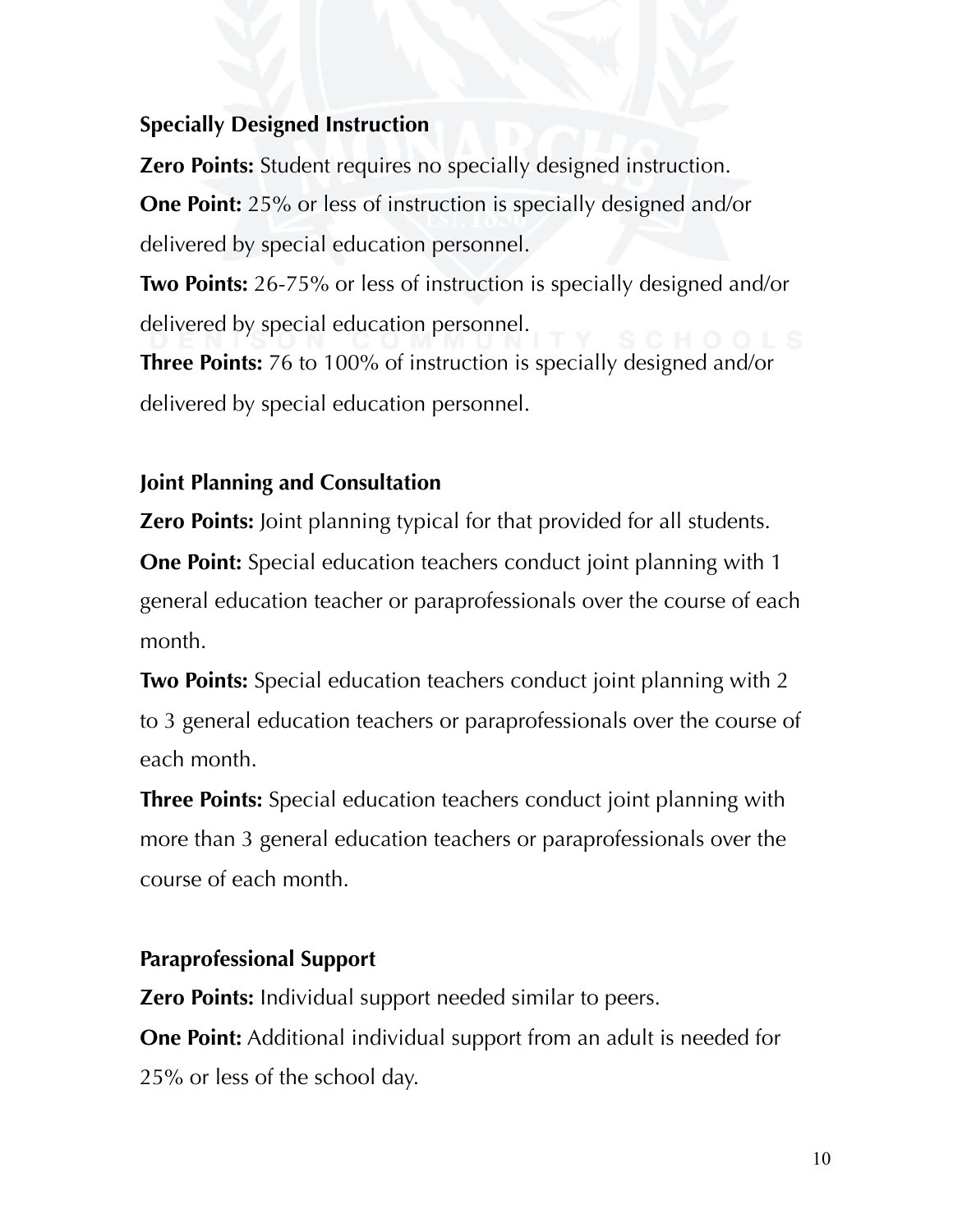#### **Specially Designed Instruction**

**Zero Points:** Student requires no specially designed instruction.

**One Point:** 25% or less of instruction is specially designed and/or delivered by special education personnel.

**Two Points:** 26-75% or less of instruction is specially designed and/or delivered by special education personnel.

**Three Points:** 76 to 100% of instruction is specially designed and/or delivered by special education personnel.

#### **Joint Planning and Consultation**

**Zero Points:** Joint planning typical for that provided for all students.

**One Point:** Special education teachers conduct joint planning with 1 general education teacher or paraprofessionals over the course of each month.

**Two Points:** Special education teachers conduct joint planning with 2 to 3 general education teachers or paraprofessionals over the course of each month.

**Three Points:** Special education teachers conduct joint planning with more than 3 general education teachers or paraprofessionals over the course of each month.

#### **Paraprofessional Support**

**Zero Points:** Individual support needed similar to peers.

**One Point:** Additional individual support from an adult is needed for 25% or less of the school day.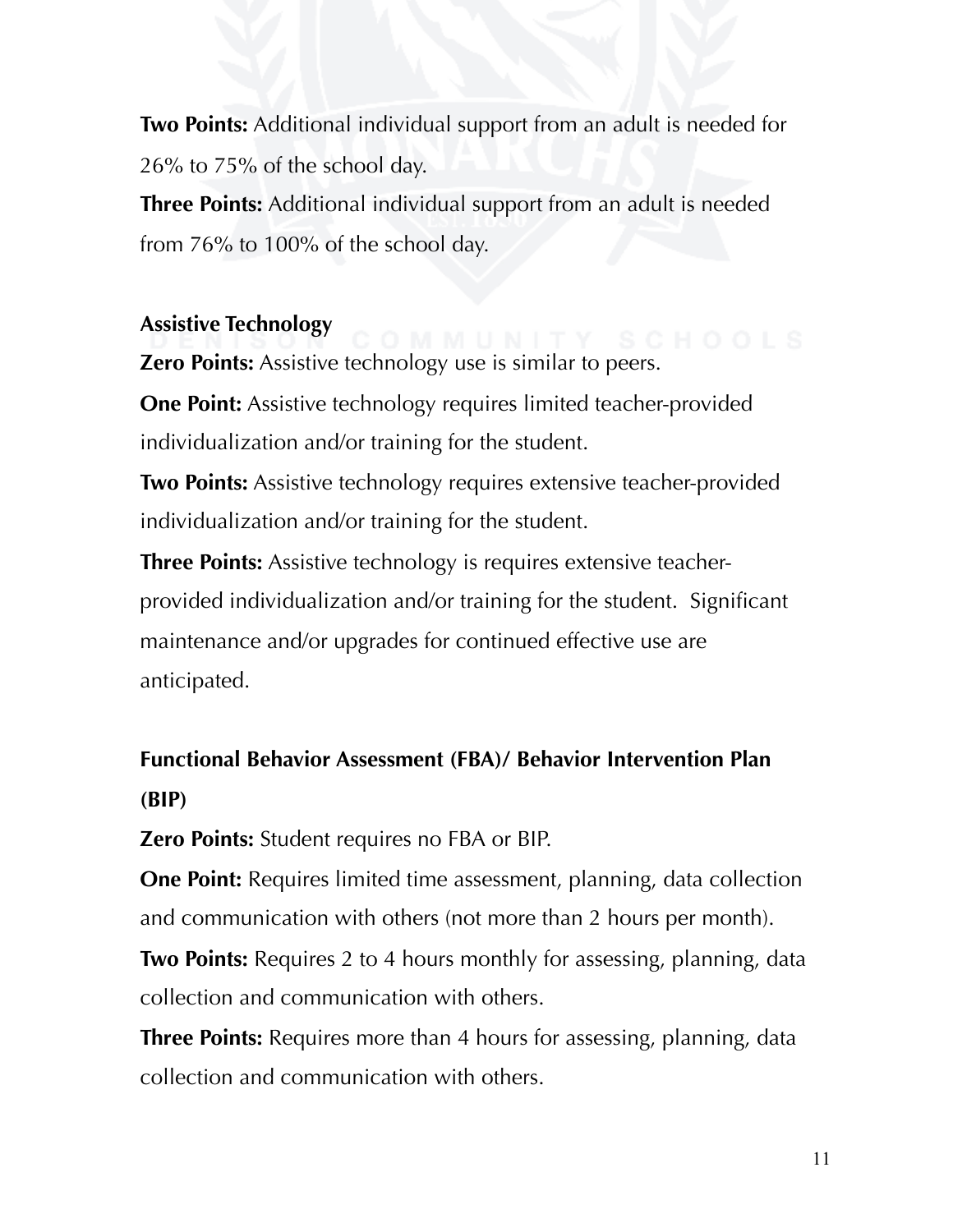**Two Points:** Additional individual support from an adult is needed for 26% to 75% of the school day.

**Three Points:** Additional individual support from an adult is needed from 76% to 100% of the school day.

#### **Assistive Technology**

**Zero Points:** Assistive technology use is similar to peers.

**One Point:** Assistive technology requires limited teacher-provided individualization and/or training for the student.

**Two Points:** Assistive technology requires extensive teacher-provided individualization and/or training for the student.

**Three Points:** Assistive technology is requires extensive teacherprovided individualization and/or training for the student. Significant maintenance and/or upgrades for continued effective use are anticipated.

# **Functional Behavior Assessment (FBA)/ Behavior Intervention Plan (BIP)**

**Zero Points:** Student requires no FBA or BIP.

**One Point:** Requires limited time assessment, planning, data collection and communication with others (not more than 2 hours per month).

**Two Points:** Requires 2 to 4 hours monthly for assessing, planning, data collection and communication with others.

**Three Points:** Requires more than 4 hours for assessing, planning, data collection and communication with others.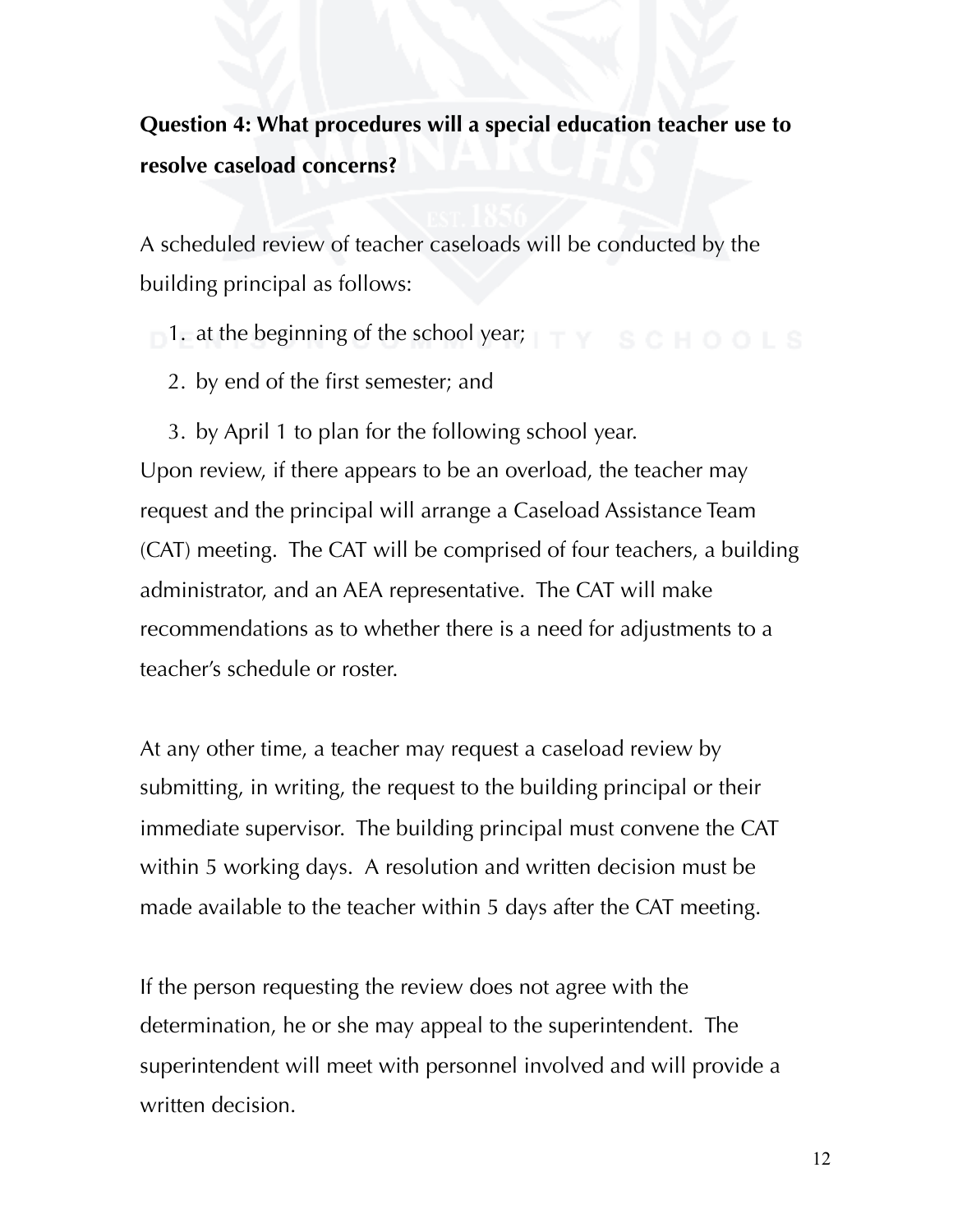# **Question 4: What procedures will a special education teacher use to resolve caseload concerns?**

A scheduled review of teacher caseloads will be conducted by the building principal as follows:

 $-1$ . at the beginning of the school year;  $\top \top Y$  school s

2. by end of the first semester; and

3. by April 1 to plan for the following school year. Upon review, if there appears to be an overload, the teacher may request and the principal will arrange a Caseload Assistance Team (CAT) meeting. The CAT will be comprised of four teachers, a building administrator, and an AEA representative. The CAT will make recommendations as to whether there is a need for adjustments to a teacher's schedule or roster.

At any other time, a teacher may request a caseload review by submitting, in writing, the request to the building principal or their immediate supervisor. The building principal must convene the CAT within 5 working days. A resolution and written decision must be made available to the teacher within 5 days after the CAT meeting.

If the person requesting the review does not agree with the determination, he or she may appeal to the superintendent. The superintendent will meet with personnel involved and will provide a written decision.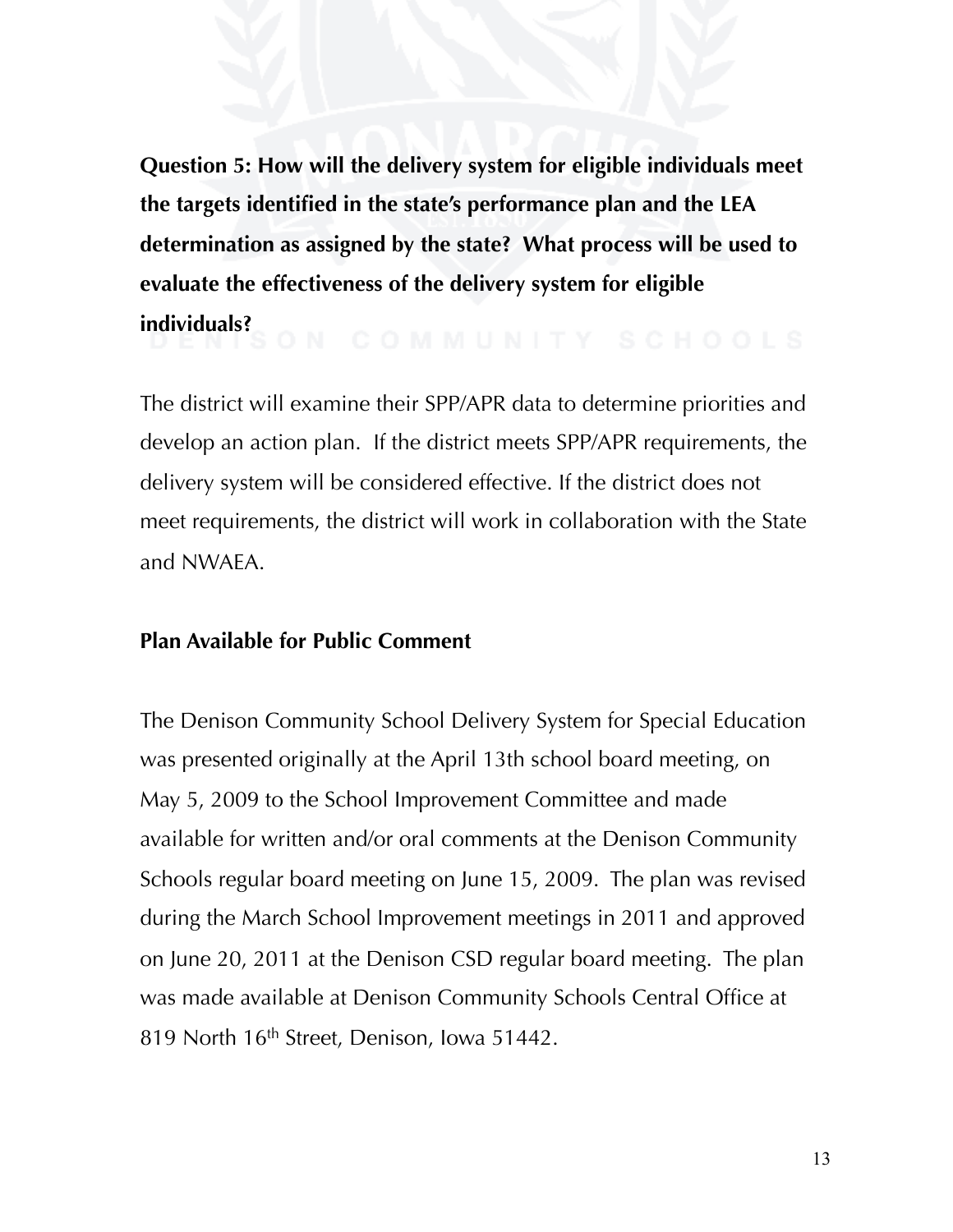**Question 5: How will the delivery system for eligible individuals meet the targets identified in the state's performance plan and the LEA determination as assigned by the state? What process will be used to evaluate the effectiveness of the delivery system for eligible individuals?**

The district will examine their SPP/APR data to determine priorities and develop an action plan. If the district meets SPP/APR requirements, the delivery system will be considered effective. If the district does not meet requirements, the district will work in collaboration with the State and NWAEA.

#### **Plan Available for Public Comment**

The Denison Community School Delivery System for Special Education was presented originally at the April 13th school board meeting, on May 5, 2009 to the School Improvement Committee and made available for written and/or oral comments at the Denison Community Schools regular board meeting on June 15, 2009. The plan was revised during the March School Improvement meetings in 2011 and approved on June 20, 2011 at the Denison CSD regular board meeting. The plan was made available at Denison Community Schools Central Office at 819 North 16<sup>th</sup> Street, Denison, Iowa 51442.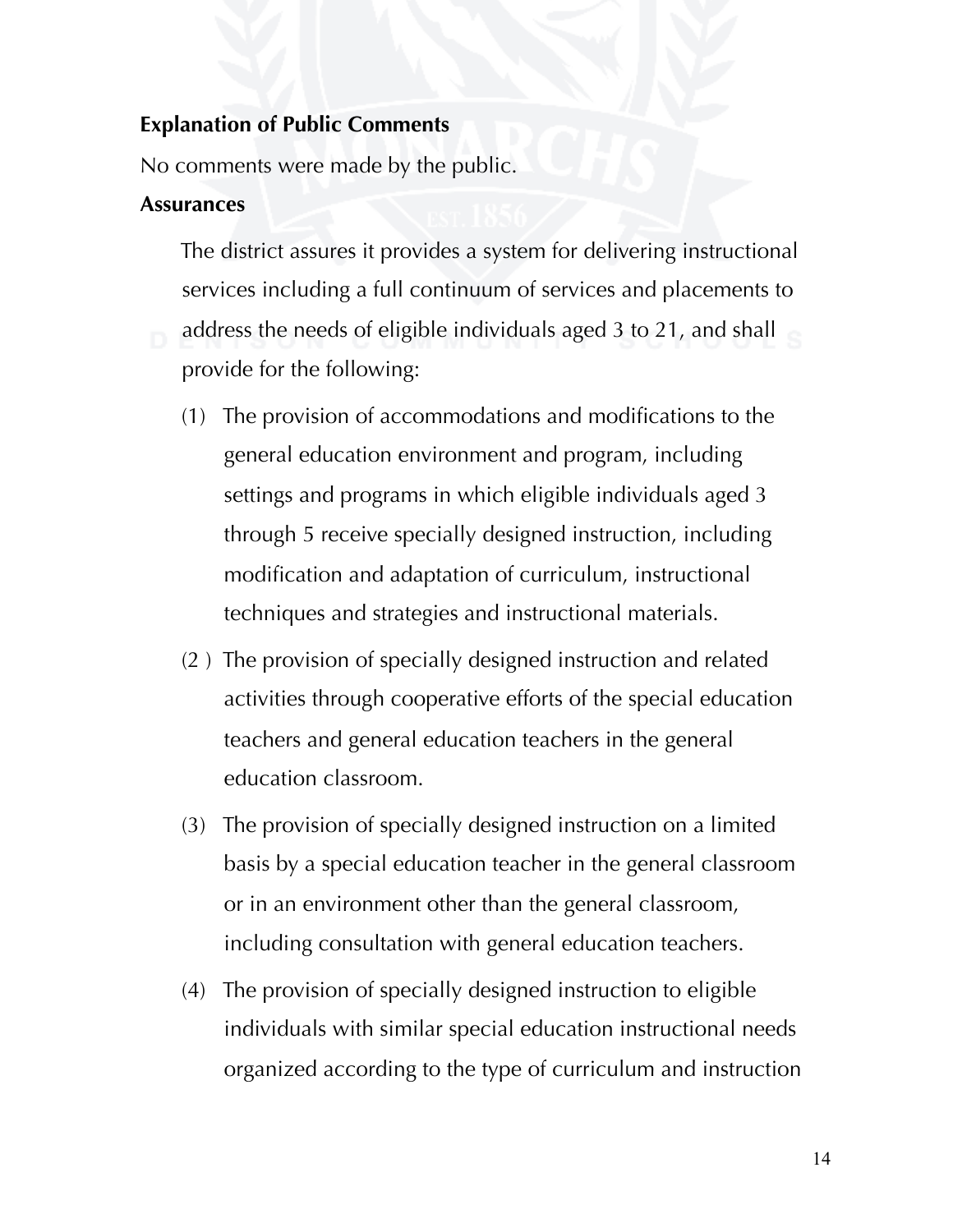#### **Explanation of Public Comments**

No comments were made by the public.

#### **Assurances**

 The district assures it provides a system for delivering instructional services including a full continuum of services and placements to address the needs of eligible individuals aged 3 to 21, and shall provide for the following:

- (1) The provision of accommodations and modifications to the general education environment and program, including settings and programs in which eligible individuals aged 3 through 5 receive specially designed instruction, including modification and adaptation of curriculum, instructional techniques and strategies and instructional materials.
- (2 ) The provision of specially designed instruction and related activities through cooperative efforts of the special education teachers and general education teachers in the general education classroom.
- (3) The provision of specially designed instruction on a limited basis by a special education teacher in the general classroom or in an environment other than the general classroom, including consultation with general education teachers.
- (4) The provision of specially designed instruction to eligible individuals with similar special education instructional needs organized according to the type of curriculum and instruction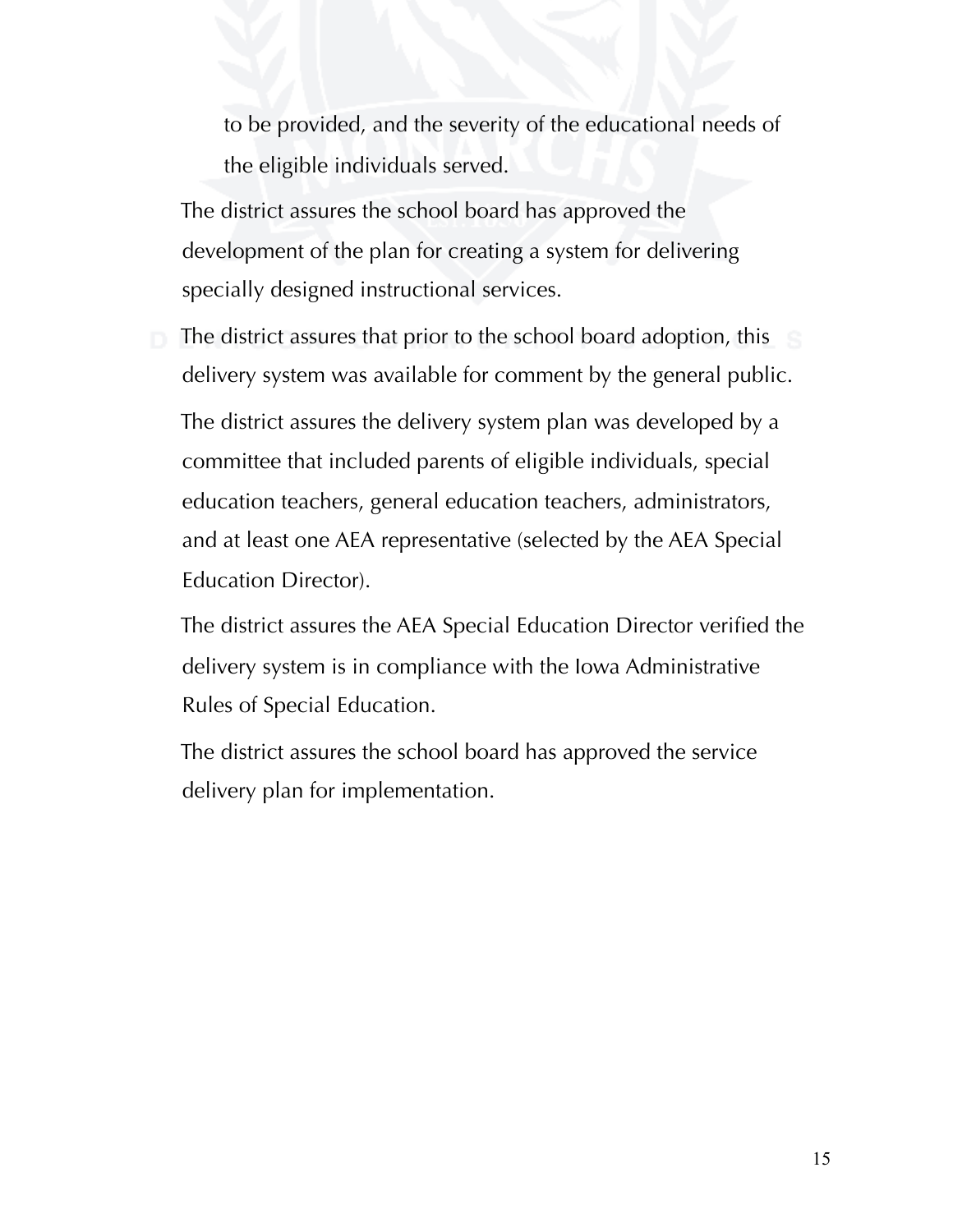to be provided, and the severity of the educational needs of the eligible individuals served.

 The district assures the school board has approved the development of the plan for creating a system for delivering specially designed instructional services.

 The district assures that prior to the school board adoption, this delivery system was available for comment by the general public.

 The district assures the delivery system plan was developed by a committee that included parents of eligible individuals, special education teachers, general education teachers, administrators, and at least one AEA representative (selected by the AEA Special Education Director).

 The district assures the AEA Special Education Director verified the delivery system is in compliance with the Iowa Administrative Rules of Special Education.

 The district assures the school board has approved the service delivery plan for implementation.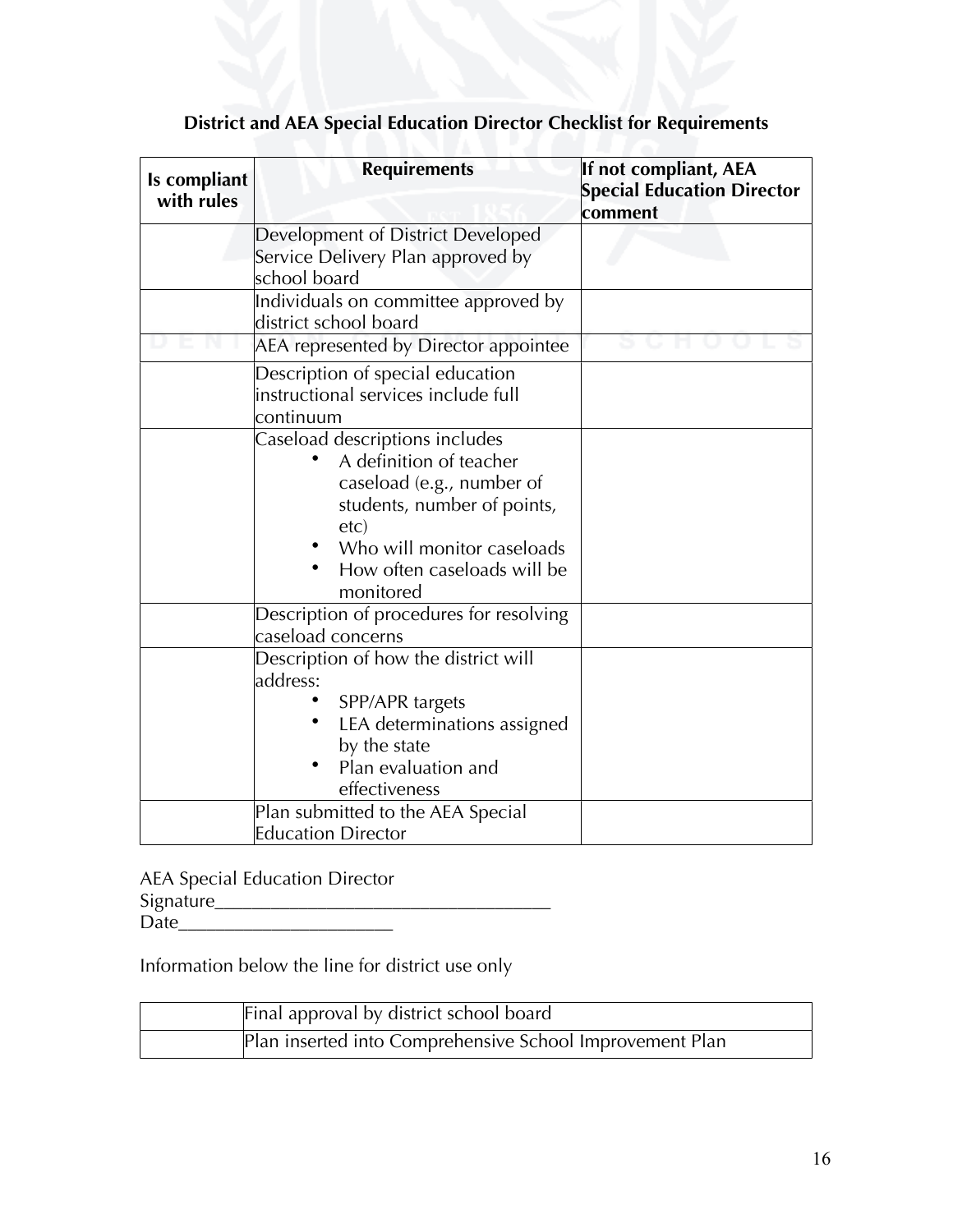| Is compliant<br>with rules | <b>Requirements</b>                                                                                                                                                                                     | If not compliant, AEA<br><b>Special Education Director</b><br>comment |  |  |
|----------------------------|---------------------------------------------------------------------------------------------------------------------------------------------------------------------------------------------------------|-----------------------------------------------------------------------|--|--|
|                            | Development of District Developed<br>Service Delivery Plan approved by<br>school board                                                                                                                  |                                                                       |  |  |
|                            | Individuals on committee approved by<br>district school board                                                                                                                                           |                                                                       |  |  |
|                            | AEA represented by Director appointee                                                                                                                                                                   |                                                                       |  |  |
|                            | Description of special education<br>instructional services include full<br>continuum                                                                                                                    |                                                                       |  |  |
|                            | Caseload descriptions includes<br>A definition of teacher<br>caseload (e.g., number of<br>students, number of points,<br>etc)<br>Who will monitor caseloads<br>How often caseloads will be<br>monitored |                                                                       |  |  |
|                            | Description of procedures for resolving<br>caseload concerns                                                                                                                                            |                                                                       |  |  |
|                            | Description of how the district will<br>address:<br>SPP/APR targets<br>LEA determinations assigned<br>by the state<br>Plan evaluation and<br>effectiveness                                              |                                                                       |  |  |
|                            | Plan submitted to the AEA Special<br><b>Education Director</b>                                                                                                                                          |                                                                       |  |  |

# **District and AEA Special Education Director Checklist for Requirements**

AEA Special Education Director Signature\_\_\_\_\_\_\_\_\_\_\_\_\_\_\_\_\_\_\_\_\_\_\_\_\_\_\_\_\_\_\_\_\_\_\_\_ Date\_\_\_\_\_\_\_\_\_\_\_\_\_\_\_\_\_\_\_\_\_\_\_

Information below the line for district use only

| Final approval by district school board                  |
|----------------------------------------------------------|
| Plan inserted into Comprehensive School Improvement Plan |